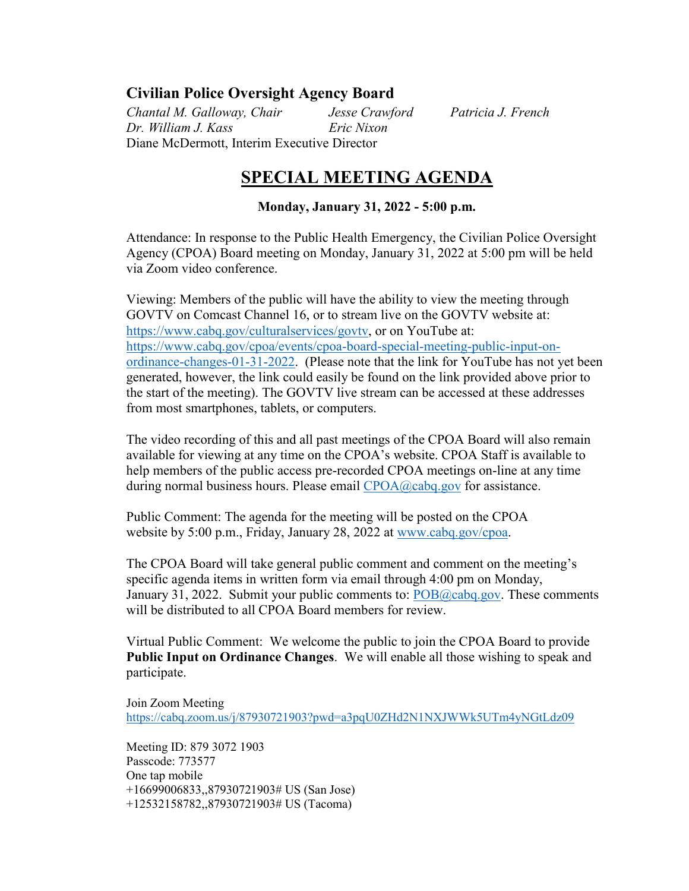## **Civilian Police Oversight Agency Board**

*Chantal M. Galloway, Chair Jesse Crawford Patricia J. French Dr. William J. Kass Eric Nixon*  Diane McDermott, Interim Executive Director

# **SPECIAL MEETING AGENDA**

### **Monday, January 31, 2022 - 5:00 p.m.**

Attendance: In response to the Public Health Emergency, the Civilian Police Oversight Agency (CPOA) Board meeting on Monday, January 31, 2022 at 5:00 pm will be held via Zoom video conference.

Viewing: Members of the public will have the ability to view the meeting through GOVTV on Comcast Channel 16, or to stream live on the GOVTV website at: [https://www.cabq.gov/culturalservices/govtv,](https://www.cabq.gov/culturalservices/govtv) or on YouTube at: [https://www.cabq.gov/cpoa/events/cpoa-board-special-meeting-public-input-on](https://www.cabq.gov/cpoa/events/cpoa-board-special-meeting-public-input-on-ordinance-changes-01-31-2022)[ordinance-changes-01-31-2022.](https://www.cabq.gov/cpoa/events/cpoa-board-special-meeting-public-input-on-ordinance-changes-01-31-2022) (Please note that the link for YouTube has not yet been generated, however, the link could easily be found on the link provided above prior to the start of the meeting). The GOVTV live stream can be accessed at these addresses from most smartphones, tablets, or computers.

The video recording of this and all past meetings of the CPOA Board will also remain available for viewing at any time on the CPOA's website. CPOA Staff is available to help members of the public access pre-recorded CPOA meetings on-line at any time during normal business hours. Please email [CPOA@cabq.gov](mailto:CPOA@cabq.gov?subject=CPOA%20Board%20Meeting%20Assistance%2004-09-2020) for assistance.

Public Comment: The agenda for the meeting will be posted on the CPOA website by 5:00 p.m., Friday, January 28, 2022 at [www.cabq.gov/cpoa.](http://www.cabq.gov/cpoa)

The CPOA Board will take general public comment and comment on the meeting's specific agenda items in written form via email through 4:00 pm on Monday, January 31, 2022. Submit your public comments to:  $POB@cabq.gov$ . These comments will be distributed to all CPOA Board members for review.

Virtual Public Comment: We welcome the public to join the CPOA Board to provide **Public Input on Ordinance Changes**. We will enable all those wishing to speak and participate.

Join Zoom Meeting <https://cabq.zoom.us/j/87930721903?pwd=a3pqU0ZHd2N1NXJWWk5UTm4yNGtLdz09>

Meeting ID: 879 3072 1903 Passcode: 773577 One tap mobile +16699006833,,87930721903# US (San Jose) +12532158782,,87930721903# US (Tacoma)